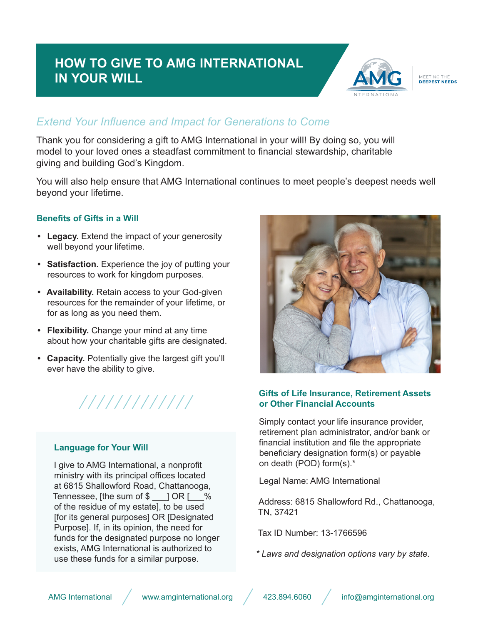# **HOW TO GIVE TO AMG INTERNATIONAL IN YOUR WILL**



# MEETING THE<br>DEEPEST NEEDS

# *Extend Your Influence and Impact for Generations to Come*

Thank you for considering a gift to AMG International in your will! By doing so, you will model to your loved ones a steadfast commitment to financial stewardship, charitable giving and building God's Kingdom.

You will also help ensure that AMG International continues to meet people's deepest needs well beyond your lifetime.

## **Benefits of Gifts in a Will**

- **• Legacy.** Extend the impact of your generosity well beyond your lifetime.
- **• Satisfaction.** Experience the joy of putting your resources to work for kingdom purposes.
- **• Availability.** Retain access to your God-given resources for the remainder of your lifetime, or for as long as you need them.
- **• Flexibility.** Change your mind at any time about how your charitable gifts are designated.
- **• Capacity.** Potentially give the largest gift you'll ever have the ability to give.



#### **Language for Your Will**

I give to AMG International, a nonprofit ministry with its principal offices located at 6815 Shallowford Road, Chattanooga, Tennessee, [the sum of  $\frac{1}{2}$  OR [  $\frac{1}{2}$ of the residue of my estate], to be used [for its general purposes] OR [Designated Purpose]. If, in its opinion, the need for funds for the designated purpose no longer exists, AMG International is authorized to use these funds for a similar purpose.



## **Gifts of Life Insurance, Retirement Assets or Other Financial Accounts**

Simply contact your life insurance provider, retirement plan administrator, and/or bank or financial institution and file the appropriate beneficiary designation form(s) or payable on death (POD) form(s).\*

Legal Name: AMG International

Address: 6815 Shallowford Rd., Chattanooga, TN, 37421

Tax ID Number: 13-1766596

*\* Laws and designation options vary by state.*